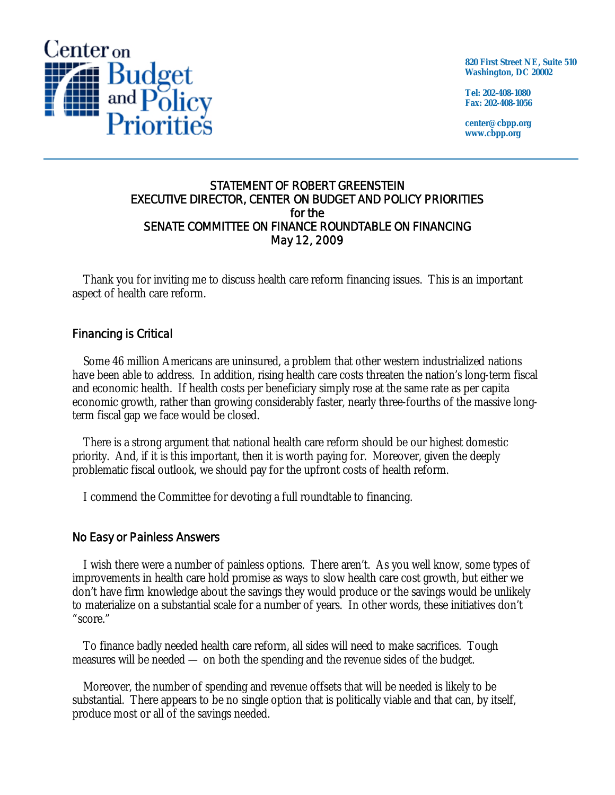

**820 First Street NE, Suite 510 Washington, DC 20002** 

**Tel: 202-408-1080 Fax: 202-408-1056** 

**center@cbpp.org www.cbpp.org** 

## STATEMENT OF ROBERT GREENSTEIN EXECUTIVE DIRECTOR, CENTER ON BUDGET AND POLICY PRIORITIES for the SENATE COMMITTEE ON FINANCE ROUNDTABLE ON FINANCING May 12, 2009

Thank you for inviting me to discuss health care reform financing issues. This is an important aspect of health care reform.

# Financing is Critical

Some 46 million Americans are uninsured, a problem that other western industrialized nations have been able to address. In addition, rising health care costs threaten the nation's long-term fiscal and economic health. If health costs per beneficiary simply rose at the same rate as per capita economic growth, rather than growing considerably faster, nearly three-fourths of the massive longterm fiscal gap we face would be closed.

There is a strong argument that national health care reform should be our highest domestic priority. And, if it is this important, then it is worth paying for. Moreover, given the deeply problematic fiscal outlook, we should pay for the upfront costs of health reform.

I commend the Committee for devoting a full roundtable to financing.

## No Easy or Painless Answers

I wish there were a number of painless options. There aren't. As you well know, some types of improvements in health care hold promise as ways to slow health care cost growth, but either we don't have firm knowledge about the savings they would produce or the savings would be unlikely to materialize on a substantial scale for a number of years. In other words, these initiatives don't "score."

To finance badly needed health care reform, all sides will need to make sacrifices. Tough measures will be needed — on both the spending and the revenue sides of the budget.

Moreover, the number of spending and revenue offsets that will be needed is likely to be substantial. There appears to be no single option that is politically viable and that can, by itself, produce most or all of the savings needed.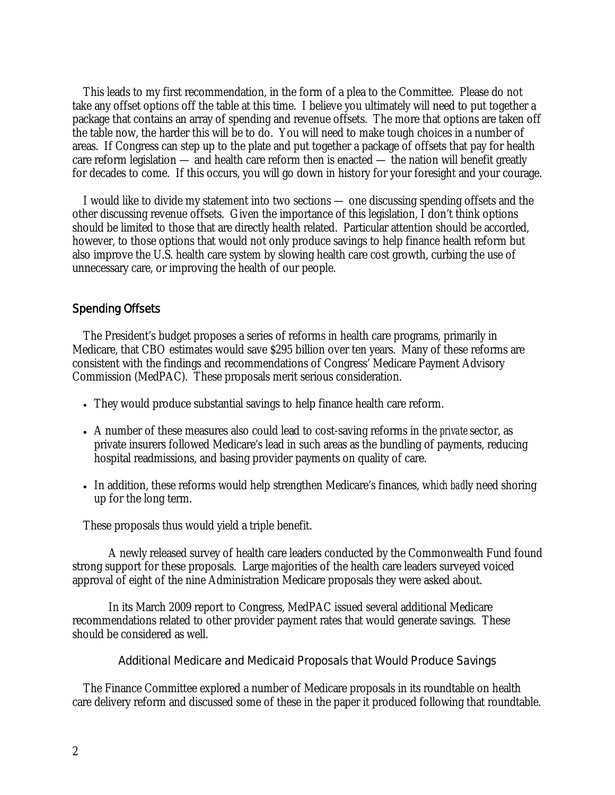This leads to my first recommendation, in the form of a plea to the Committee. Please do not take any offset options off the table at this time. I believe you ultimately will need to put together a package that contains an array of spending and revenue offsets. The more that options are taken off the table now, the harder this will be to do. You will need to make tough choices in a number of areas. If Congress can step up to the plate and put together a package of offsets that pay for health care reform legislation — and health care reform then is enacted — the nation will benefit greatly for decades to come. If this occurs, you will go down in history for your foresight and your courage.

I would like to divide my statement into two sections — one discussing spending offsets and the other discussing revenue offsets. Given the importance of this legislation, I don't think options should be limited to those that are directly health related. Particular attention should be accorded, however, to those options that would not only produce savings to help finance health reform but also improve the U.S. health care system by slowing health care cost growth, curbing the use of unnecessary care, or improving the health of our people.

## Spending Offsets

The President's budget proposes a series of reforms in health care programs, primarily in Medicare, that CBO estimates would save \$295 billion over ten years. Many of these reforms are consistent with the findings and recommendations of Congress' Medicare Payment Advisory Commission (MedPAC). These proposals merit serious consideration.

- They would produce substantial savings to help finance health care reform.
- A number of these measures also could lead to cost-saving reforms in the *private* sector, as private insurers followed Medicare's lead in such areas as the bundling of payments, reducing hospital readmissions, and basing provider payments on quality of care.
- In addition, these reforms would help strengthen Medicare's finances, wh*ich bad*ly need shoring up for the long term.

These proposals thus would yield a triple benefit.

 A newly released survey of health care leaders conducted by the Commonwealth Fund found strong support for these proposals. Large majorities of the health care leaders surveyed voiced approval of eight of the nine Administration Medicare proposals they were asked about.

 In its March 2009 report to Congress, MedPAC issued several additional Medicare recommendations related to other provider payment rates that would generate savings. These should be considered as well.

#### Additional Medicare and Medicaid Proposals that Would Produce Savings

The Finance Committee explored a number of Medicare proposals in its roundtable on health care delivery reform and discussed some of these in the paper it produced following that roundtable.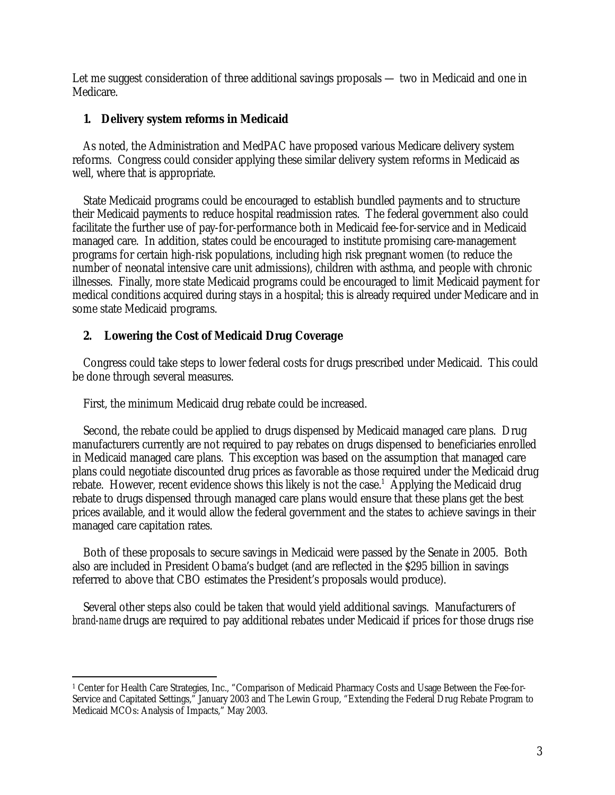Let me suggest consideration of three additional savings proposals — two in Medicaid and one in Medicare.

# **1. Delivery system reforms in Medicaid**

As noted, the Administration and MedPAC have proposed various Medicare delivery system reforms. Congress could consider applying these similar delivery system reforms in Medicaid as well, where that is appropriate.

State Medicaid programs could be encouraged to establish bundled payments and to structure their Medicaid payments to reduce hospital readmission rates. The federal government also could facilitate the further use of pay-for-performance both in Medicaid fee-for-service and in Medicaid managed care. In addition, states could be encouraged to institute promising care-management programs for certain high-risk populations, including high risk pregnant women (to reduce the number of neonatal intensive care unit admissions), children with asthma, and people with chronic illnesses. Finally, more state Medicaid programs could be encouraged to limit Medicaid payment for medical conditions acquired during stays in a hospital; this is already required under Medicare and in some state Medicaid programs.

# **2. Lowering the Cost of Medicaid Drug Coverage**

Congress could take steps to lower federal costs for drugs prescribed under Medicaid. This could be done through several measures.

First, the minimum Medicaid drug rebate could be increased.

Second, the rebate could be applied to drugs dispensed by Medicaid managed care plans. Drug manufacturers currently are not required to pay rebates on drugs dispensed to beneficiaries enrolled in Medicaid managed care plans. This exception was based on the assumption that managed care plans could negotiate discounted drug prices as favorable as those required under the Medicaid drug rebate. However, recent evidence shows this likely is not the case.<sup>1</sup> Applying the Medicaid drug rebate to drugs dispensed through managed care plans would ensure that these plans get the best prices available, and it would allow the federal government and the states to achieve savings in their managed care capitation rates.

Both of these proposals to secure savings in Medicaid were passed by the Senate in 2005. Both also are included in President Obama's budget (and are reflected in the \$295 billion in savings referred to above that CBO estimates the President's proposals would produce).

Several other steps also could be taken that would yield additional savings. Manufacturers of *brand-name* drugs are required to pay additional rebates under Medicaid if prices for those drugs rise

<sup>-</sup>1 Center for Health Care Strategies, Inc., "Comparison of Medicaid Pharmacy Costs and Usage Between the Fee-for-Service and Capitated Settings," January 2003 and The Lewin Group, "Extending the Federal Drug Rebate Program to Medicaid MCOs: Analysis of Impacts," May 2003.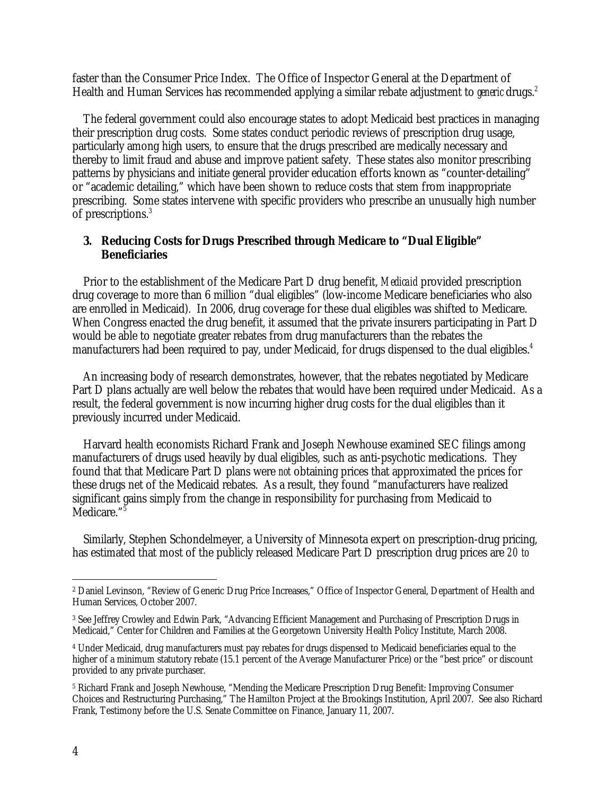faster than the Consumer Price Index. The Office of Inspector General at the Department of Health and Human Services has recommended applying a similar rebate adjustment to *generic* drugs.<sup>2</sup>

The federal government could also encourage states to adopt Medicaid best practices in managing their prescription drug costs. Some states conduct periodic reviews of prescription drug usage, particularly among high users, to ensure that the drugs prescribed are medically necessary and thereby to limit fraud and abuse and improve patient safety. These states also monitor prescribing patterns by physicians and initiate general provider education efforts known as "counter-detailing" or "academic detailing," which have been shown to reduce costs that stem from inappropriate prescribing. Some states intervene with specific providers who prescribe an unusually high number of prescriptions.3

## **3. Reducing Costs for Drugs Prescribed through Medicare to "Dual Eligible" Beneficiaries**

Prior to the establishment of the Medicare Part D drug benefit, *Medicaid* provided prescription drug coverage to more than 6 million "dual eligibles" (low-income Medicare beneficiaries who also are enrolled in Medicaid). In 2006, drug coverage for these dual eligibles was shifted to Medicare. When Congress enacted the drug benefit, it assumed that the private insurers participating in Part D would be able to negotiate greater rebates from drug manufacturers than the rebates the manufacturers had been required to pay, under Medicaid, for drugs dispensed to the dual eligibles.<sup>4</sup>

An increasing body of research demonstrates, however, that the rebates negotiated by Medicare Part D plans actually are well below the rebates that would have been required under Medicaid. As a result, the federal government is now incurring higher drug costs for the dual eligibles than it previously incurred under Medicaid.

Harvard health economists Richard Frank and Joseph Newhouse examined SEC filings among manufacturers of drugs used heavily by dual eligibles, such as anti-psychotic medications. They found that that Medicare Part D plans were *not* obtaining prices that approximated the prices for these drugs net of the Medicaid rebates. As a result, they found "manufacturers have realized significant gains simply from the change in responsibility for purchasing from Medicaid to Medicare."<sup>5</sup>

Similarly, Stephen Schondelmeyer, a University of Minnesota expert on prescription-drug pricing, has estimated that most of the publicly released Medicare Part D prescription drug prices are *20 to* 

<sup>-</sup>2 Daniel Levinson, "Review of Generic Drug Price Increases," Office of Inspector General, Department of Health and Human Services, October 2007.

<sup>3</sup> See Jeffrey Crowley and Edwin Park, "Advancing Efficient Management and Purchasing of Prescription Drugs in Medicaid," Center for Children and Families at the Georgetown University Health Policy Institute, March 2008.

<sup>4</sup> Under Medicaid, drug manufacturers must pay rebates for drugs dispensed to Medicaid beneficiaries equal to the higher of a minimum statutory rebate (15.1 percent of the Average Manufacturer Price) or the "best price" or discount provided to any private purchaser.

<sup>5</sup> Richard Frank and Joseph Newhouse, "Mending the Medicare Prescription Drug Benefit: Improving Consumer Choices and Restructuring Purchasing," The Hamilton Project at the Brookings Institution, April 2007. See also Richard Frank, Testimony before the U.S. Senate Committee on Finance, January 11, 2007.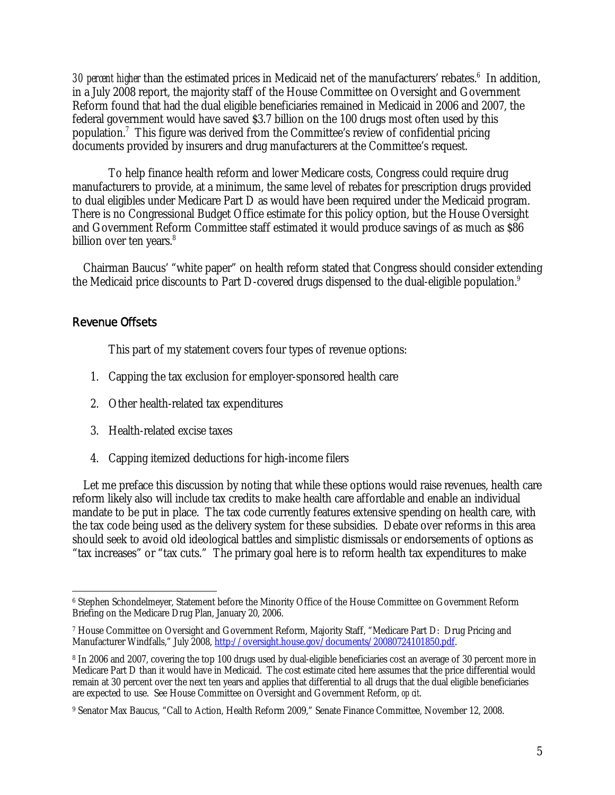30 percent higher than the estimated prices in Medicaid net of the manufacturers' rebates.<sup>6</sup> In addition, in a July 2008 report, the majority staff of the House Committee on Oversight and Government Reform found that had the dual eligible beneficiaries remained in Medicaid in 2006 and 2007, the federal government would have saved \$3.7 billion on the 100 drugs most often used by this population.<sup>7</sup> This figure was derived from the Committee's review of confidential pricing documents provided by insurers and drug manufacturers at the Committee's request.

 To help finance health reform and lower Medicare costs, Congress could require drug manufacturers to provide, at a minimum, the same level of rebates for prescription drugs provided to dual eligibles under Medicare Part D as would have been required under the Medicaid program. There is no Congressional Budget Office estimate for this policy option, but the House Oversight and Government Reform Committee staff estimated it would produce savings of as much as \$86 billion over ten years.<sup>8</sup>

Chairman Baucus' "white paper" on health reform stated that Congress should consider extending the Medicaid price discounts to Part D-covered drugs dispensed to the dual-eligible population.<sup>9</sup>

# Revenue Offsets

This part of my statement covers four types of revenue options:

- 1. Capping the tax exclusion for employer-sponsored health care
- 2. Other health-related tax expenditures
- 3. Health-related excise taxes
- 4. Capping itemized deductions for high-income filers

Let me preface this discussion by noting that while these options would raise revenues, health care reform likely also will include tax credits to make health care affordable and enable an individual mandate to be put in place. The tax code currently features extensive spending on health care, with the tax code being used as the delivery system for these subsidies. Debate over reforms in this area should seek to avoid old ideological battles and simplistic dismissals or endorsements of options as "tax increases" or "tax cuts." The primary goal here is to reform health tax expenditures to make

 $\overline{a}$ 6 Stephen Schondelmeyer, Statement before the Minority Office of the House Committee on Government Reform Briefing on the Medicare Drug Plan, January 20, 2006.

<sup>7</sup> House Committee on Oversight and Government Reform, Majority Staff, "Medicare Part D: Drug Pricing and Manufacturer Windfalls," July 2008, http://oversight.house.gov/documents/20080724101850.pdf.

<sup>8</sup> In 2006 and 2007, covering the top 100 drugs used by dual-eligible beneficiaries cost an average of 30 percent more in Medicare Part D than it would have in Medicaid. The cost estimate cited here assumes that the price differential would remain at 30 percent over the next ten years and applies that differential to all drugs that the dual eligible beneficiaries are expected to use. See House Committee on Oversight and Government Reform, *op cit*.

<sup>9</sup> Senator Max Baucus, "Call to Action, Health Reform 2009," Senate Finance Committee, November 12, 2008.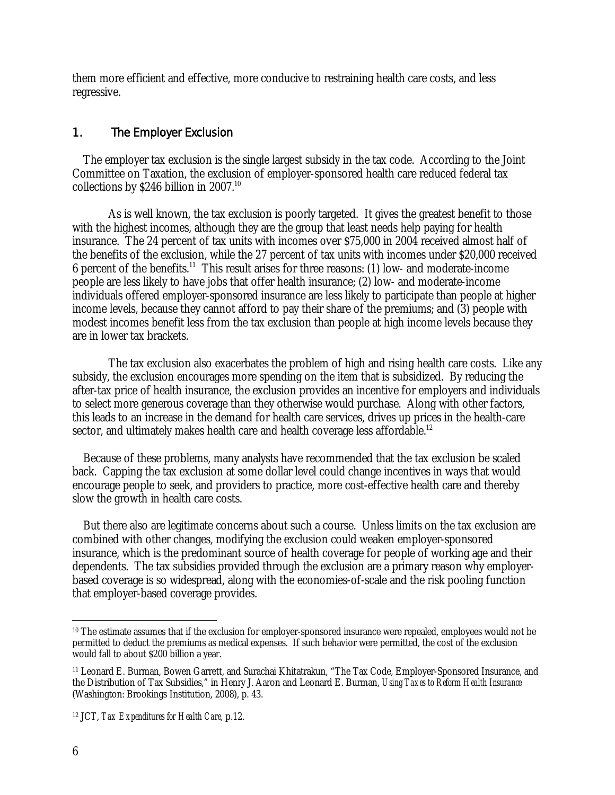them more efficient and effective, more conducive to restraining health care costs, and less regressive.

# 1. The Employer Exclusion

The employer tax exclusion is the single largest subsidy in the tax code. According to the Joint Committee on Taxation, the exclusion of employer-sponsored health care reduced federal tax collections by \$246 billion in 2007.<sup>10</sup>

 As is well known, the tax exclusion is poorly targeted. It gives the greatest benefit to those with the highest incomes, although they are the group that least needs help paying for health insurance. The 24 percent of tax units with incomes over \$75,000 in 2004 received almost half of the benefits of the exclusion, while the 27 percent of tax units with incomes under \$20,000 received 6 percent of the benefits.<sup>11</sup> This result arises for three reasons: (1) low- and moderate-income people are less likely to have jobs that offer health insurance; (2) low- and moderate-income individuals offered employer-sponsored insurance are less likely to participate than people at higher income levels, because they cannot afford to pay their share of the premiums; and (3) people with modest incomes benefit less from the tax exclusion than people at high income levels because they are in lower tax brackets.

 The tax exclusion also exacerbates the problem of high and rising health care costs. Like any subsidy, the exclusion encourages more spending on the item that is subsidized. By reducing the after-tax price of health insurance, the exclusion provides an incentive for employers and individuals to select more generous coverage than they otherwise would purchase. Along with other factors, this leads to an increase in the demand for health care services, drives up prices in the health-care sector, and ultimately makes health care and health coverage less affordable.<sup>12</sup>

Because of these problems, many analysts have recommended that the tax exclusion be scaled back. Capping the tax exclusion at some dollar level could change incentives in ways that would encourage people to seek, and providers to practice, more cost-effective health care and thereby slow the growth in health care costs.

But there also are legitimate concerns about such a course. Unless limits on the tax exclusion are combined with other changes, modifying the exclusion could weaken employer-sponsored insurance, which is the predominant source of health coverage for people of working age and their dependents. The tax subsidies provided through the exclusion are a primary reason why employerbased coverage is so widespread, along with the economies-of-scale and the risk pooling function that employer-based coverage provides.

 $\overline{a}$ <sup>10</sup> The estimate assumes that if the exclusion for employer-sponsored insurance were repealed, employees would not be permitted to deduct the premiums as medical expenses. If such behavior were permitted, the cost of the exclusion would fall to about \$200 billion a year.

<sup>11</sup> Leonard E. Burman, Bowen Garrett, and Surachai Khitatrakun, "The Tax Code, Employer-Sponsored Insurance, and the Distribution of Tax Subsidies," in Henry J. Aaron and Leonard E. Burman, *Using Taxes to Reform Health Insurance* (Washington: Brookings Institution, 2008), p. 43.

<sup>12</sup> JCT, *Tax Expenditures for Health Care,* p.12.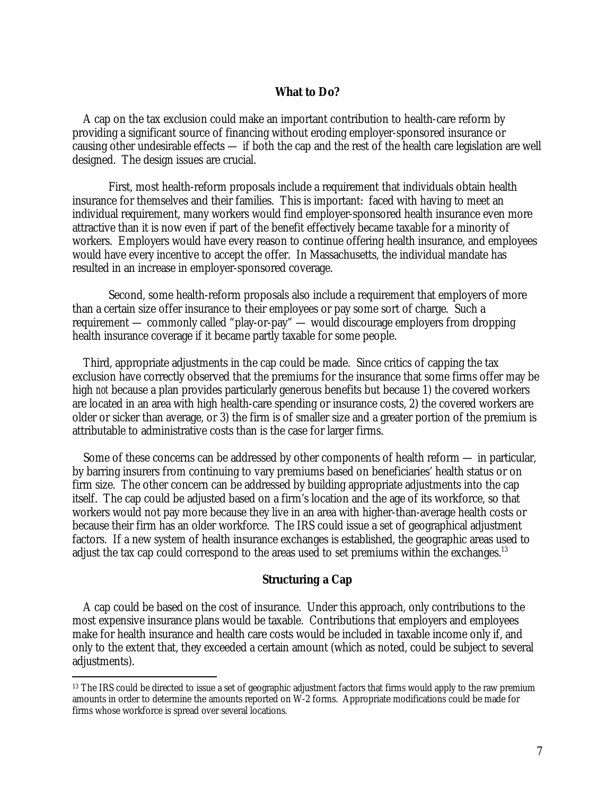### **What to Do?**

A cap on the tax exclusion could make an important contribution to health-care reform by providing a significant source of financing without eroding employer-sponsored insurance or causing other undesirable effects — if both the cap and the rest of the health care legislation are well designed. The design issues are crucial.

 First, most health-reform proposals include a requirement that individuals obtain health insurance for themselves and their families. This is important: faced with having to meet an individual requirement, many workers would find employer-sponsored health insurance even more attractive than it is now even if part of the benefit effectively became taxable for a minority of workers. Employers would have every reason to continue offering health insurance, and employees would have every incentive to accept the offer. In Massachusetts, the individual mandate has resulted in an increase in employer-sponsored coverage.

 Second, some health-reform proposals also include a requirement that employers of more than a certain size offer insurance to their employees or pay some sort of charge. Such a requirement — commonly called "play-or-pay" — would discourage employers from dropping health insurance coverage if it became partly taxable for some people.

Third, appropriate adjustments in the cap could be made. Since critics of capping the tax exclusion have correctly observed that the premiums for the insurance that some firms offer may be high *not* because a plan provides particularly generous benefits but because 1) the covered workers are located in an area with high health-care spending or insurance costs, 2) the covered workers are older or sicker than average, or 3) the firm is of smaller size and a greater portion of the premium is attributable to administrative costs than is the case for larger firms.

Some of these concerns can be addressed by other components of health reform — in particular, by barring insurers from continuing to vary premiums based on beneficiaries' health status or on firm size. The other concern can be addressed by building appropriate adjustments into the cap itself. The cap could be adjusted based on a firm's location and the age of its workforce, so that workers would not pay more because they live in an area with higher-than-average health costs or because their firm has an older workforce. The IRS could issue a set of geographical adjustment factors. If a new system of health insurance exchanges is established, the geographic areas used to adjust the tax cap could correspond to the areas used to set premiums within the exchanges.<sup>13</sup>

#### **Structuring a Cap**

A cap could be based on the cost of insurance. Under this approach, only contributions to the most expensive insurance plans would be taxable. Contributions that employers and employees make for health insurance and health care costs would be included in taxable income only if, and only to the extent that, they exceeded a certain amount (which as noted, could be subject to several adjustments).

-

<sup>&</sup>lt;sup>13</sup> The IRS could be directed to issue a set of geographic adjustment factors that firms would apply to the raw premium amounts in order to determine the amounts reported on W-2 forms. Appropriate modifications could be made for firms whose workforce is spread over several locations.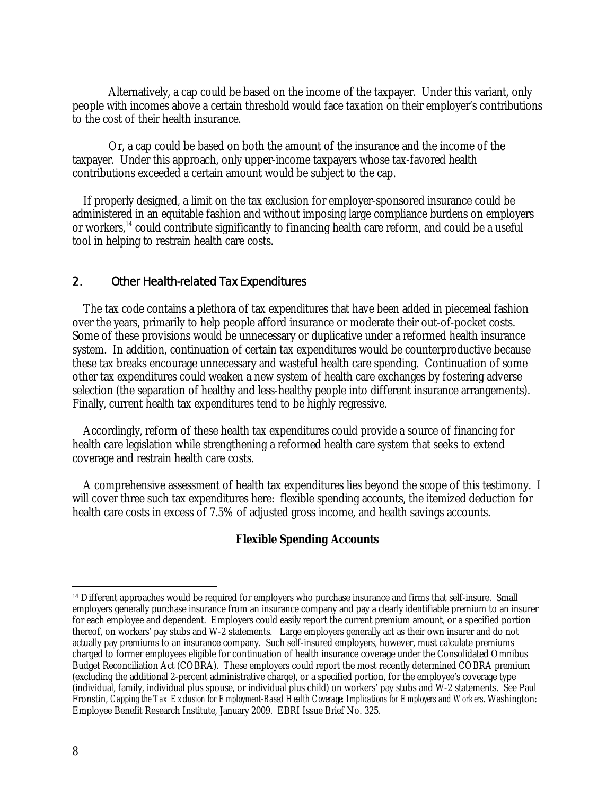Alternatively, a cap could be based on the income of the taxpayer. Under this variant, only people with incomes above a certain threshold would face taxation on their employer's contributions to the cost of their health insurance.

 Or, a cap could be based on both the amount of the insurance and the income of the taxpayer. Under this approach, only upper-income taxpayers whose tax-favored health contributions exceeded a certain amount would be subject to the cap.

If properly designed, a limit on the tax exclusion for employer-sponsored insurance could be administered in an equitable fashion and without imposing large compliance burdens on employers or workers,<sup>14</sup> could contribute significantly to financing health care reform, and could be a useful tool in helping to restrain health care costs.

## 2. Other Health-related Tax Expenditures

The tax code contains a plethora of tax expenditures that have been added in piecemeal fashion over the years, primarily to help people afford insurance or moderate their out-of-pocket costs. Some of these provisions would be unnecessary or duplicative under a reformed health insurance system. In addition, continuation of certain tax expenditures would be counterproductive because these tax breaks encourage unnecessary and wasteful health care spending. Continuation of some other tax expenditures could weaken a new system of health care exchanges by fostering adverse selection (the separation of healthy and less-healthy people into different insurance arrangements). Finally, current health tax expenditures tend to be highly regressive.

Accordingly, reform of these health tax expenditures could provide a source of financing for health care legislation while strengthening a reformed health care system that seeks to extend coverage and restrain health care costs.

A comprehensive assessment of health tax expenditures lies beyond the scope of this testimony. I will cover three such tax expenditures here: flexible spending accounts, the itemized deduction for health care costs in excess of 7.5% of adjusted gross income, and health savings accounts.

#### **Flexible Spending Accounts**

 $\overline{a}$ 

<sup>&</sup>lt;sup>14</sup> Different approaches would be required for employers who purchase insurance and firms that self-insure. Small employers generally purchase insurance from an insurance company and pay a clearly identifiable premium to an insurer for each employee and dependent. Employers could easily report the current premium amount, or a specified portion thereof, on workers' pay stubs and W-2 statements. Large employers generally act as their own insurer and do not actually pay premiums to an insurance company. Such self-insured employers, however, must calculate premiums charged to former employees eligible for continuation of health insurance coverage under the Consolidated Omnibus Budget Reconciliation Act (COBRA). These employers could report the most recently determined COBRA premium (excluding the additional 2-percent administrative charge), or a specified portion, for the employee's coverage type (individual, family, individual plus spouse, or individual plus child) on workers' pay stubs and W-2 statements. See Paul Fronstin, *Capping the Tax Exclusion for Employment-Based Health Coverage: Implications for Employers and Workers*. Washington: Employee Benefit Research Institute, January 2009. EBRI Issue Brief No. 325.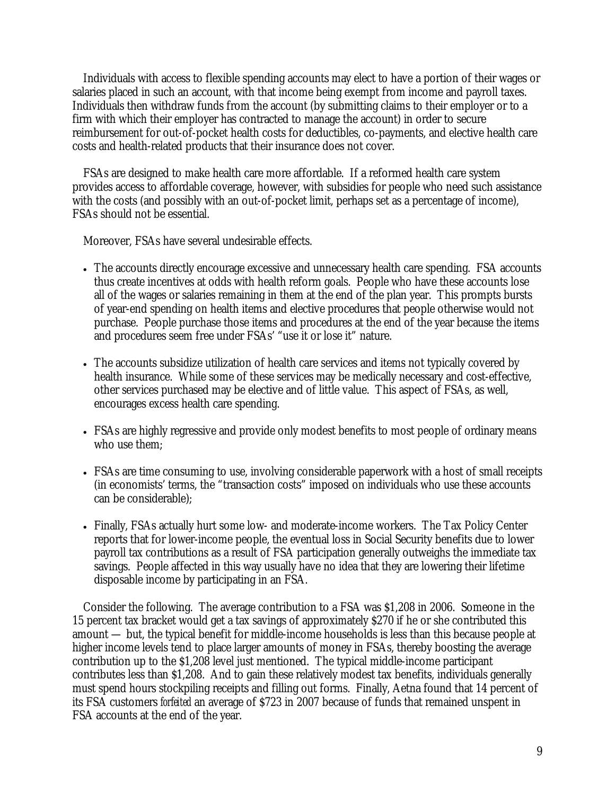Individuals with access to flexible spending accounts may elect to have a portion of their wages or salaries placed in such an account, with that income being exempt from income and payroll taxes. Individuals then withdraw funds from the account (by submitting claims to their employer or to a firm with which their employer has contracted to manage the account) in order to secure reimbursement for out-of-pocket health costs for deductibles, co-payments, and elective health care costs and health-related products that their insurance does not cover.

FSAs are designed to make health care more affordable. If a reformed health care system provides access to affordable coverage, however, with subsidies for people who need such assistance with the costs (and possibly with an out-of-pocket limit, perhaps set as a percentage of income), FSAs should not be essential.

Moreover, FSAs have several undesirable effects.

- The accounts directly encourage excessive and unnecessary health care spending. FSA accounts thus create incentives at odds with health reform goals. People who have these accounts lose all of the wages or salaries remaining in them at the end of the plan year. This prompts bursts of year-end spending on health items and elective procedures that people otherwise would not purchase. People purchase those items and procedures at the end of the year because the items and procedures seem free under FSAs' "use it or lose it" nature.
- The accounts subsidize utilization of health care services and items not typically covered by health insurance. While some of these services may be medically necessary and cost-effective, other services purchased may be elective and of little value. This aspect of FSAs, as well, encourages excess health care spending.
- FSAs are highly regressive and provide only modest benefits to most people of ordinary means who use them;
- FSAs are time consuming to use, involving considerable paperwork with a host of small receipts (in economists' terms, the "transaction costs" imposed on individuals who use these accounts can be considerable);
- Finally, FSAs actually hurt some low- and moderate-income workers. The Tax Policy Center reports that for lower-income people, the eventual loss in Social Security benefits due to lower payroll tax contributions as a result of FSA participation generally outweighs the immediate tax savings. People affected in this way usually have no idea that they are lowering their lifetime disposable income by participating in an FSA.

Consider the following. The average contribution to a FSA was \$1,208 in 2006. Someone in the 15 percent tax bracket would get a tax savings of approximately \$270 if he or she contributed this amount — but, the typical benefit for middle-income households is less than this because people at higher income levels tend to place larger amounts of money in FSAs, thereby boosting the average contribution up to the \$1,208 level just mentioned. The typical middle-income participant contributes less than \$1,208. And to gain these relatively modest tax benefits, individuals generally must spend hours stockpiling receipts and filling out forms. Finally, Aetna found that 14 percent of its FSA customers *forfeited* an average of \$723 in 2007 because of funds that remained unspent in FSA accounts at the end of the year.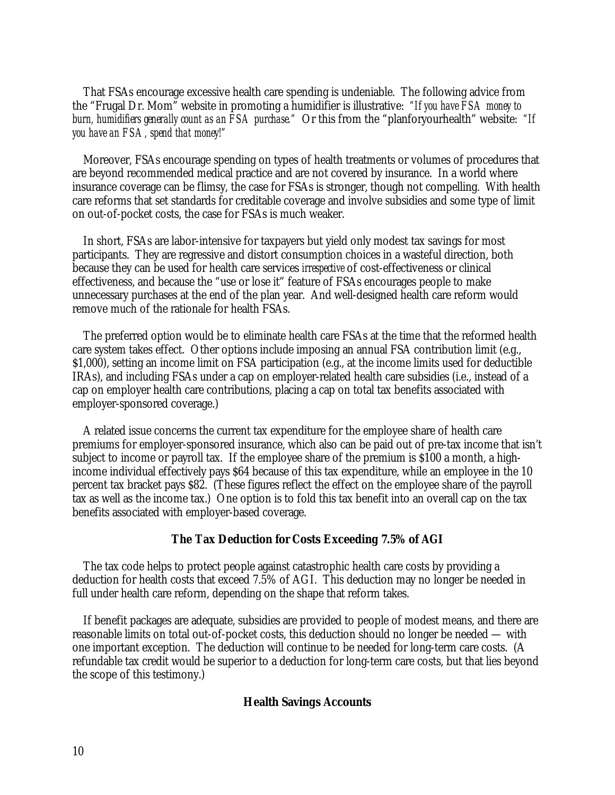That FSAs encourage excessive health care spending is undeniable. The following advice from the "Frugal Dr. Mom" website in promoting a humidifier is illustrative: *"If you have FSA money to burn, humidifiers generally count as an FSA purchase."* Or this from the "planforyourhealth" website: *"If you have an FSA, spend that money!"*

Moreover, FSAs encourage spending on types of health treatments or volumes of procedures that are beyond recommended medical practice and are not covered by insurance. In a world where insurance coverage can be flimsy, the case for FSAs is stronger, though not compelling. With health care reforms that set standards for creditable coverage and involve subsidies and some type of limit on out-of-pocket costs, the case for FSAs is much weaker.

In short, FSAs are labor-intensive for taxpayers but yield only modest tax savings for most participants. They are regressive and distort consumption choices in a wasteful direction, both because they can be used for health care services *irrespective* of cost-effectiveness or clinical effectiveness, and because the "use or lose it" feature of FSAs encourages people to make unnecessary purchases at the end of the plan year. And well-designed health care reform would remove much of the rationale for health FSAs.

The preferred option would be to eliminate health care FSAs at the time that the reformed health care system takes effect. Other options include imposing an annual FSA contribution limit (e.g., \$1,000), setting an income limit on FSA participation (e.g., at the income limits used for deductible IRAs), and including FSAs under a cap on employer-related health care subsidies (i.e., instead of a cap on employer health care contributions, placing a cap on total tax benefits associated with employer-sponsored coverage.)

A related issue concerns the current tax expenditure for the employee share of health care premiums for employer-sponsored insurance, which also can be paid out of pre-tax income that isn't subject to income or payroll tax. If the employee share of the premium is \$100 a month, a highincome individual effectively pays \$64 because of this tax expenditure, while an employee in the 10 percent tax bracket pays \$82. (These figures reflect the effect on the employee share of the payroll tax as well as the income tax.) One option is to fold this tax benefit into an overall cap on the tax benefits associated with employer-based coverage.

#### **The Tax Deduction for Costs Exceeding 7.5% of AGI**

The tax code helps to protect people against catastrophic health care costs by providing a deduction for health costs that exceed 7.5% of AGI. This deduction may no longer be needed in full under health care reform, depending on the shape that reform takes.

If benefit packages are adequate, subsidies are provided to people of modest means, and there are reasonable limits on total out-of-pocket costs, this deduction should no longer be needed — with one important exception. The deduction will continue to be needed for long-term care costs. (A refundable tax credit would be superior to a deduction for long-term care costs, but that lies beyond the scope of this testimony.)

### **Health Savings Accounts**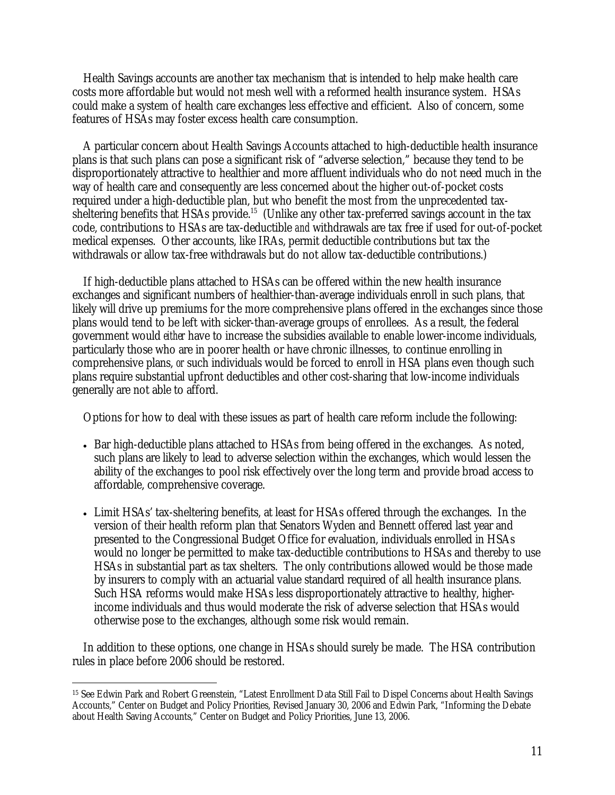Health Savings accounts are another tax mechanism that is intended to help make health care costs more affordable but would not mesh well with a reformed health insurance system. HSAs could make a system of health care exchanges less effective and efficient. Also of concern, some features of HSAs may foster excess health care consumption.

A particular concern about Health Savings Accounts attached to high-deductible health insurance plans is that such plans can pose a significant risk of "adverse selection," because they tend to be disproportionately attractive to healthier and more affluent individuals who do not need much in the way of health care and consequently are less concerned about the higher out-of-pocket costs required under a high-deductible plan, but who benefit the most from the unprecedented taxsheltering benefits that HSAs provide.<sup>15</sup> (Unlike any other tax-preferred savings account in the tax code, contributions to HSAs are tax-deductible *and* withdrawals are tax free if used for out-of-pocket medical expenses. Other accounts, like IRAs, permit deductible contributions but tax the withdrawals or allow tax-free withdrawals but do not allow tax-deductible contributions.)

If high-deductible plans attached to HSAs can be offered within the new health insurance exchanges and significant numbers of healthier-than-average individuals enroll in such plans, that likely will drive up premiums for the more comprehensive plans offered in the exchanges since those plans would tend to be left with sicker-than-average groups of enrollees. As a result, the federal government would *either* have to increase the subsidies available to enable lower-income individuals, particularly those who are in poorer health or have chronic illnesses, to continue enrolling in comprehensive plans, *or* such individuals would be forced to enroll in HSA plans even though such plans require substantial upfront deductibles and other cost-sharing that low-income individuals generally are not able to afford.

Options for how to deal with these issues as part of health care reform include the following:

- Bar high-deductible plans attached to HSAs from being offered in the exchanges. As noted, such plans are likely to lead to adverse selection within the exchanges, which would lessen the ability of the exchanges to pool risk effectively over the long term and provide broad access to affordable, comprehensive coverage.
- Limit HSAs' tax-sheltering benefits, at least for HSAs offered through the exchanges. In the version of their health reform plan that Senators Wyden and Bennett offered last year and presented to the Congressional Budget Office for evaluation, individuals enrolled in HSAs would no longer be permitted to make tax-deductible contributions to HSAs and thereby to use HSAs in substantial part as tax shelters. The only contributions allowed would be those made by insurers to comply with an actuarial value standard required of all health insurance plans. Such HSA reforms would make HSAs less disproportionately attractive to healthy, higherincome individuals and thus would moderate the risk of adverse selection that HSAs would otherwise pose to the exchanges, although some risk would remain.

In addition to these options, one change in HSAs should surely be made. The HSA contribution rules in place before 2006 should be restored.

 $\overline{a}$ 15 See Edwin Park and Robert Greenstein, "Latest Enrollment Data Still Fail to Dispel Concerns about Health Savings Accounts," Center on Budget and Policy Priorities, Revised January 30, 2006 and Edwin Park, "Informing the Debate about Health Saving Accounts," Center on Budget and Policy Priorities, June 13, 2006.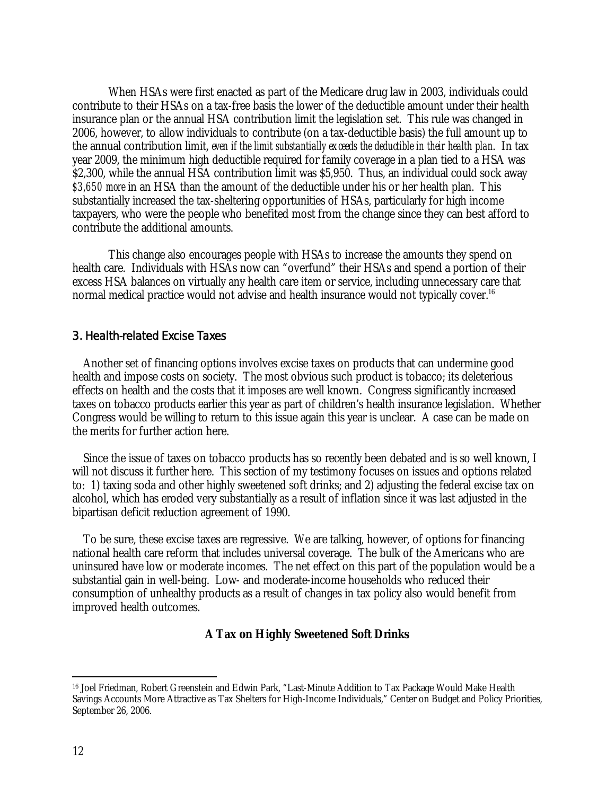When HSAs were first enacted as part of the Medicare drug law in 2003, individuals could contribute to their HSAs on a tax-free basis the lower of the deductible amount under their health insurance plan or the annual HSA contribution limit the legislation set. This rule was changed in 2006, however, to allow individuals to contribute (on a tax-deductible basis) the full amount up to the annual contribution limit, *even if the limit substantially exceeds the deductible in their health plan*. In tax year 2009, the minimum high deductible required for family coverage in a plan tied to a HSA was \$2,300, while the annual HSA contribution limit was \$5,950. Thus, an individual could sock away *\$3,650 more* in an HSA than the amount of the deductible under his or her health plan. This substantially increased the tax-sheltering opportunities of HSAs, particularly for high income taxpayers, who were the people who benefited most from the change since they can best afford to contribute the additional amounts.

 This change also encourages people with HSAs to increase the amounts they spend on health care. Individuals with HSAs now can "overfund" their HSAs and spend a portion of their excess HSA balances on virtually any health care item or service, including unnecessary care that normal medical practice would not advise and health insurance would not typically cover.<sup>16</sup>

## 3. Health-related Excise Taxes

Another set of financing options involves excise taxes on products that can undermine good health and impose costs on society. The most obvious such product is tobacco; its deleterious effects on health and the costs that it imposes are well known. Congress significantly increased taxes on tobacco products earlier this year as part of children's health insurance legislation. Whether Congress would be willing to return to this issue again this year is unclear. A case can be made on the merits for further action here.

Since the issue of taxes on tobacco products has so recently been debated and is so well known, I will not discuss it further here. This section of my testimony focuses on issues and options related to: 1) taxing soda and other highly sweetened soft drinks; and 2) adjusting the federal excise tax on alcohol, which has eroded very substantially as a result of inflation since it was last adjusted in the bipartisan deficit reduction agreement of 1990.

To be sure, these excise taxes are regressive. We are talking, however, of options for financing national health care reform that includes universal coverage. The bulk of the Americans who are uninsured have low or moderate incomes. The net effect on this part of the population would be a substantial gain in well-being. Low- and moderate-income households who reduced their consumption of unhealthy products as a result of changes in tax policy also would benefit from improved health outcomes.

## **A Tax on Highly Sweetened Soft Drinks**

 $\overline{a}$ 16 Joel Friedman, Robert Greenstein and Edwin Park, "Last-Minute Addition to Tax Package Would Make Health Savings Accounts More Attractive as Tax Shelters for High-Income Individuals," Center on Budget and Policy Priorities, September 26, 2006.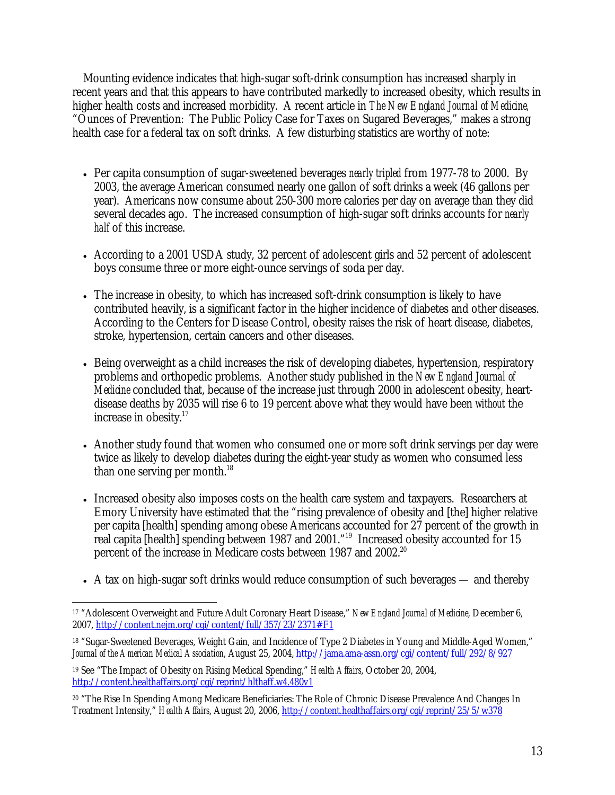Mounting evidence indicates that high-sugar soft-drink consumption has increased sharply in recent years and that this appears to have contributed markedly to increased obesity, which results in higher health costs and increased morbidity. A recent article in *The New England Journal of Medicine,* "Ounces of Prevention: The Public Policy Case for Taxes on Sugared Beverages," makes a strong health case for a federal tax on soft drinks. A few disturbing statistics are worthy of note:

- Per capita consumption of sugar-sweetened beverages *nearly tripled* from 1977-78 to 2000. By 2003, the average American consumed nearly one gallon of soft drinks a week (46 gallons per year). Americans now consume about 250-300 more calories per day on average than they did several decades ago. The increased consumption of high-sugar soft drinks accounts for *nearly half* of this increase.
- According to a 2001 USDA study, 32 percent of adolescent girls and 52 percent of adolescent boys consume three or more eight-ounce servings of soda per day.
- The increase in obesity, to which has increased soft-drink consumption is likely to have contributed heavily, is a significant factor in the higher incidence of diabetes and other diseases. According to the Centers for Disease Control, obesity raises the risk of heart disease, diabetes, stroke, hypertension, certain cancers and other diseases.
- Being overweight as a child increases the risk of developing diabetes, hypertension, respiratory problems and orthopedic problems. Another study published in the *New England Journal of Medicine* concluded that, because of the increase just through 2000 in adolescent obesity, heartdisease deaths by 2035 will rise 6 to 19 percent above what they would have been *without* the increase in obesity.<sup>17</sup>
- Another study found that women who consumed one or more soft drink servings per day were twice as likely to develop diabetes during the eight-year study as women who consumed less than one serving per month.<sup>18</sup>
- Increased obesity also imposes costs on the health care system and taxpayers. Researchers at Emory University have estimated that the "rising prevalence of obesity and [the] higher relative per capita [health] spending among obese Americans accounted for 27 percent of the growth in real capita [health] spending between 1987 and 2001."19 Increased obesity accounted for 15 percent of the increase in Medicare costs between 1987 and 2002.<sup>20</sup>
- A tax on high-sugar soft drinks would reduce consumption of such beverages and thereby

 $\overline{a}$ 17 "Adolescent Overweight and Future Adult Coronary Heart Disease," *New England Journal of Medicine*, December 6, 2007, http://content.nejm.org/cgi/content/full/357/23/2371#F1

<sup>&</sup>lt;sup>18</sup> "Sugar-Sweetened Beverages, Weight Gain, and Incidence of Type 2 Diabetes in Young and Middle-Aged Women," *Journal of the American Medical Association*, August 25, 2004, http://jama.ama-assn.org/cgi/content/full/292/8/927

<sup>19</sup> See "The Impact of Obesity on Rising Medical Spending," *Health Affairs*, October 20, 2004, http://content.healthaffairs.org/cgi/reprint/hlthaff.w4.480v1

<sup>20 &</sup>quot;The Rise In Spending Among Medicare Beneficiaries: The Role of Chronic Disease Prevalence And Changes In Treatment Intensity," *Health Affairs*, August 20, 2006, http://content.healthaffairs.org/cgi/reprint/25/5/w378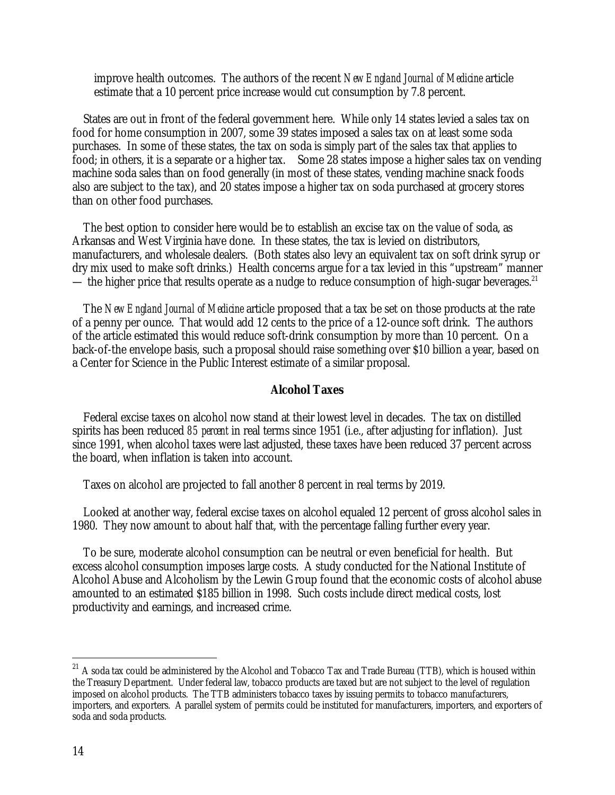improve health outcomes. The authors of the recent *New England Journal of Medicine* article estimate that a 10 percent price increase would cut consumption by 7.8 percent.

States are out in front of the federal government here. While only 14 states levied a sales tax on food for home consumption in 2007, some 39 states imposed a sales tax on at least some soda purchases. In some of these states, the tax on soda is simply part of the sales tax that applies to food; in others, it is a separate or a higher tax. Some 28 states impose a higher sales tax on vending machine soda sales than on food generally (in most of these states, vending machine snack foods also are subject to the tax), and 20 states impose a higher tax on soda purchased at grocery stores than on other food purchases.

The best option to consider here would be to establish an excise tax on the value of soda, as Arkansas and West Virginia have done. In these states, the tax is levied on distributors, manufacturers, and wholesale dealers. (Both states also levy an equivalent tax on soft drink syrup or dry mix used to make soft drinks.) Health concerns argue for a tax levied in this "upstream" manner — the higher price that results operate as a nudge to reduce consumption of high-sugar beverages.<sup>21</sup>

The *New England Journal of Medicine* article proposed that a tax be set on those products at the rate of a penny per ounce. That would add 12 cents to the price of a 12-ounce soft drink. The authors of the article estimated this would reduce soft-drink consumption by more than 10 percent. On a back-of-the envelope basis, such a proposal should raise something over \$10 billion a year, based on a Center for Science in the Public Interest estimate of a similar proposal.

#### **Alcohol Taxes**

Federal excise taxes on alcohol now stand at their lowest level in decades. The tax on distilled spirits has been reduced *85 percent* in real terms since 1951 (i.e., after adjusting for inflation). Just since 1991, when alcohol taxes were last adjusted, these taxes have been reduced 37 percent across the board, when inflation is taken into account.

Taxes on alcohol are projected to fall another 8 percent in real terms by 2019.

Looked at another way, federal excise taxes on alcohol equaled 12 percent of gross alcohol sales in 1980. They now amount to about half that, with the percentage falling further every year.

To be sure, moderate alcohol consumption can be neutral or even beneficial for health. But excess alcohol consumption imposes large costs. A study conducted for the National Institute of Alcohol Abuse and Alcoholism by the Lewin Group found that the economic costs of alcohol abuse amounted to an estimated \$185 billion in 1998. Such costs include direct medical costs, lost productivity and earnings, and increased crime.

 $\overline{a}$ 

 $^{21}$  A soda tax could be administered by the Alcohol and Tobacco Tax and Trade Bureau (TTB), which is housed within the Treasury Department. Under federal law, tobacco products are taxed but are not subject to the level of regulation imposed on alcohol products. The TTB administers tobacco taxes by issuing permits to tobacco manufacturers, importers, and exporters. A parallel system of permits could be instituted for manufacturers, importers, and exporters of soda and soda products.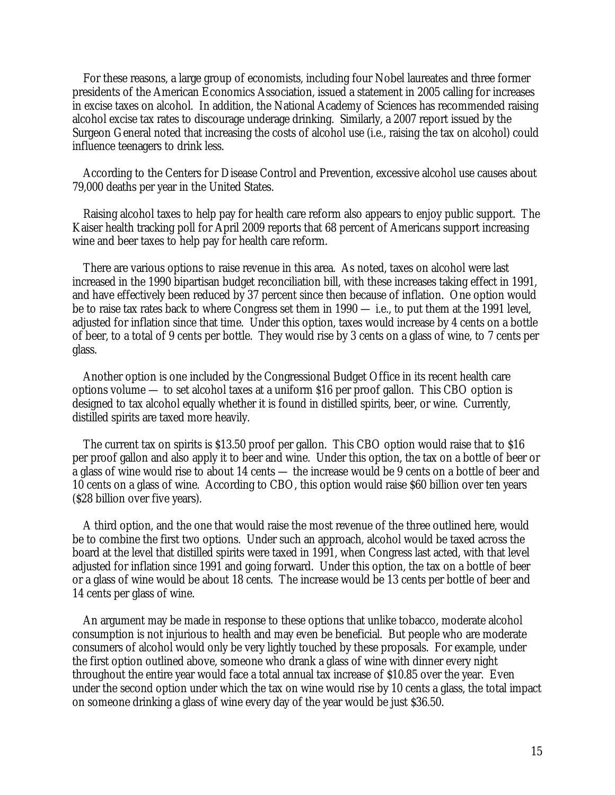For these reasons, a large group of economists, including four Nobel laureates and three former presidents of the American Economics Association, issued a statement in 2005 calling for increases in excise taxes on alcohol. In addition, the National Academy of Sciences has recommended raising alcohol excise tax rates to discourage underage drinking. Similarly, a 2007 report issued by the Surgeon General noted that increasing the costs of alcohol use (i.e., raising the tax on alcohol) could influence teenagers to drink less.

According to the Centers for Disease Control and Prevention, excessive alcohol use causes about 79,000 deaths per year in the United States.

Raising alcohol taxes to help pay for health care reform also appears to enjoy public support. The Kaiser health tracking poll for April 2009 reports that 68 percent of Americans support increasing wine and beer taxes to help pay for health care reform.

There are various options to raise revenue in this area. As noted, taxes on alcohol were last increased in the 1990 bipartisan budget reconciliation bill, with these increases taking effect in 1991, and have effectively been reduced by 37 percent since then because of inflation. One option would be to raise tax rates back to where Congress set them in 1990 — i.e., to put them at the 1991 level, adjusted for inflation since that time. Under this option, taxes would increase by 4 cents on a bottle of beer, to a total of 9 cents per bottle. They would rise by 3 cents on a glass of wine, to 7 cents per glass.

Another option is one included by the Congressional Budget Office in its recent health care options volume — to set alcohol taxes at a uniform \$16 per proof gallon. This CBO option is designed to tax alcohol equally whether it is found in distilled spirits, beer, or wine. Currently, distilled spirits are taxed more heavily.

The current tax on spirits is \$13.50 proof per gallon. This CBO option would raise that to \$16 per proof gallon and also apply it to beer and wine. Under this option, the tax on a bottle of beer or a glass of wine would rise to about 14 cents — the increase would be 9 cents on a bottle of beer and 10 cents on a glass of wine. According to CBO, this option would raise \$60 billion over ten years (\$28 billion over five years).

A third option, and the one that would raise the most revenue of the three outlined here, would be to combine the first two options. Under such an approach, alcohol would be taxed across the board at the level that distilled spirits were taxed in 1991, when Congress last acted, with that level adjusted for inflation since 1991 and going forward. Under this option, the tax on a bottle of beer or a glass of wine would be about 18 cents. The increase would be 13 cents per bottle of beer and 14 cents per glass of wine.

An argument may be made in response to these options that unlike tobacco, moderate alcohol consumption is not injurious to health and may even be beneficial. But people who are moderate consumers of alcohol would only be very lightly touched by these proposals. For example, under the first option outlined above, someone who drank a glass of wine with dinner every night throughout the entire year would face a total annual tax increase of \$10.85 over the year. Even under the second option under which the tax on wine would rise by 10 cents a glass, the total impact on someone drinking a glass of wine every day of the year would be just \$36.50.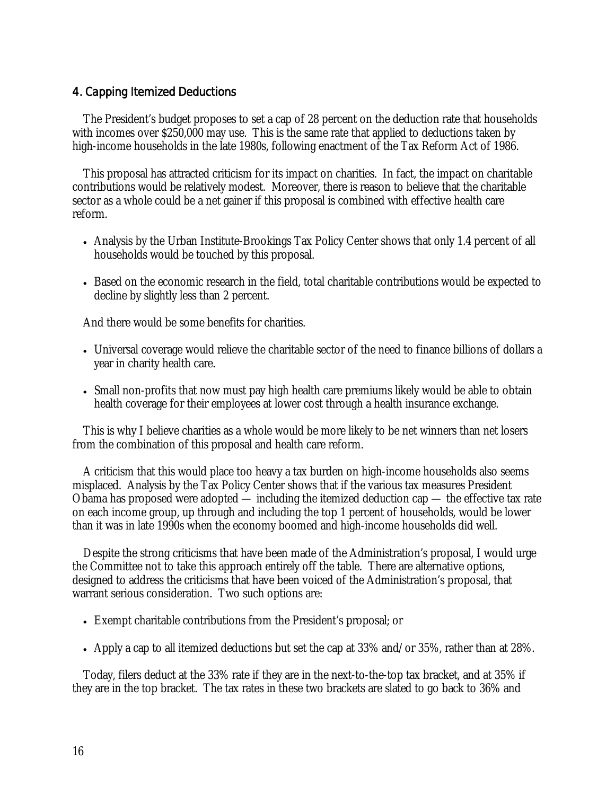# 4. Capping Itemized Deductions

The President's budget proposes to set a cap of 28 percent on the deduction rate that households with incomes over \$250,000 may use. This is the same rate that applied to deductions taken by high-income households in the late 1980s, following enactment of the Tax Reform Act of 1986.

This proposal has attracted criticism for its impact on charities. In fact, the impact on charitable contributions would be relatively modest. Moreover, there is reason to believe that the charitable sector as a whole could be a net gainer if this proposal is combined with effective health care reform.

- Analysis by the Urban Institute-Brookings Tax Policy Center shows that only 1.4 percent of all households would be touched by this proposal.
- Based on the economic research in the field, total charitable contributions would be expected to decline by slightly less than 2 percent.

And there would be some benefits for charities.

- Universal coverage would relieve the charitable sector of the need to finance billions of dollars a year in charity health care.
- Small non-profits that now must pay high health care premiums likely would be able to obtain health coverage for their employees at lower cost through a health insurance exchange.

This is why I believe charities as a whole would be more likely to be net winners than net losers from the combination of this proposal and health care reform.

A criticism that this would place too heavy a tax burden on high-income households also seems misplaced. Analysis by the Tax Policy Center shows that if the various tax measures President Obama has proposed were adopted — including the itemized deduction cap — the effective tax rate on each income group, up through and including the top 1 percent of households, would be lower than it was in late 1990s when the economy boomed and high-income households did well.

Despite the strong criticisms that have been made of the Administration's proposal, I would urge the Committee not to take this approach entirely off the table. There are alternative options, designed to address the criticisms that have been voiced of the Administration's proposal, that warrant serious consideration. Two such options are:

- Exempt charitable contributions from the President's proposal; or
- Apply a cap to all itemized deductions but set the cap at 33% and/or 35%, rather than at 28%.

Today, filers deduct at the 33% rate if they are in the next-to-the-top tax bracket, and at 35% if they are in the top bracket. The tax rates in these two brackets are slated to go back to 36% and